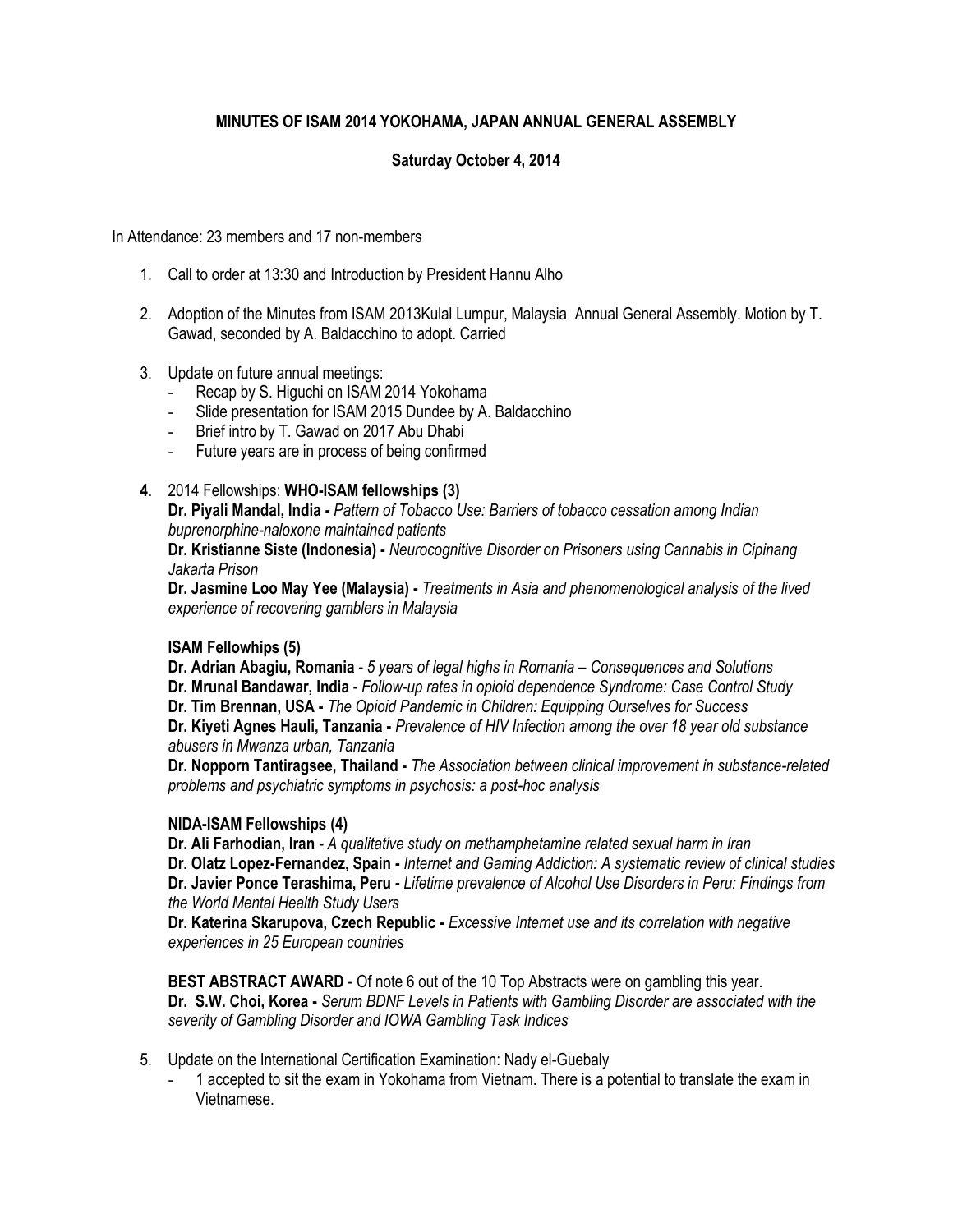# **MINUTES OF ISAM 2014 YOKOHAMA, JAPAN ANNUAL GENERAL ASSEMBLY**

## **Saturday October 4, 2014**

In Attendance: 23 members and 17 non-members

- 1. Call to order at 13:30 and Introduction by President Hannu Alho
- 2. Adoption of the Minutes from ISAM 2013Kulal Lumpur, Malaysia Annual General Assembly. Motion by T. Gawad, seconded by A. Baldacchino to adopt. Carried
- 3. Update on future annual meetings:
	- Recap by S. Higuchi on ISAM 2014 Yokohama
	- Slide presentation for ISAM 2015 Dundee by A. Baldacchino
	- Brief intro by T. Gawad on 2017 Abu Dhabi
	- Future years are in process of being confirmed

### **4.** 2014 Fellowships: **WHO-ISAM fellowships (3)**

**Dr. Piyali Mandal, India -** *Pattern of Tobacco Use: Barriers of tobacco cessation among Indian buprenorphine-naloxone maintained patients* 

**Dr. Kristianne Siste (Indonesia) -** *Neurocognitive Disorder on Prisoners using Cannabis in Cipinang Jakarta Prison*

**Dr. Jasmine Loo May Yee (Malaysia) -** *Treatments in Asia and phenomenological analysis of the lived experience of recovering gamblers in Malaysia*

## **ISAM Fellowhips (5)**

**Dr. Adrian Abagiu, Romania** *- 5 years of legal highs in Romania – Consequences and Solutions* **Dr. Mrunal Bandawar, India** - *Follow-up rates in opioid dependence Syndrome: Case Control Study*  **Dr. Tim Brennan, USA -** *The Opioid Pandemic in Children: Equipping Ourselves for Success* **Dr. Kiyeti Agnes Hauli, Tanzania -** *Prevalence of HIV Infection among the over 18 year old substance abusers in Mwanza urban, Tanzania*

**Dr. Nopporn Tantiragsee, Thailand -** *The Association between clinical improvement in substance-related problems and psychiatric symptoms in psychosis: a post-hoc analysis*

#### **NIDA-ISAM Fellowships (4)**

**Dr. Ali Farhodian, Iran** *- A qualitative study on methamphetamine related sexual harm in Iran* **Dr. Olatz Lopez-Fernandez, Spain -** *Internet and Gaming Addiction: A systematic review of clinical studies* **Dr. Javier Ponce Terashima, Peru -** *Lifetime prevalence of Alcohol Use Disorders in Peru: Findings from the World Mental Health Study Users*

**Dr. Katerina Skarupova, Czech Republic -** *Excessive Internet use and its correlation with negative experiences in 25 European countries*

**BEST ABSTRACT AWARD** - Of note 6 out of the 10 Top Abstracts were on gambling this year. **Dr. S.W. Choi, Korea -** *Serum BDNF Levels in Patients with Gambling Disorder are associated with the severity of Gambling Disorder and IOWA Gambling Task Indices*

- 5. Update on the International Certification Examination: Nady el-Guebaly
	- 1 accepted to sit the exam in Yokohama from Vietnam. There is a potential to translate the exam in Vietnamese.